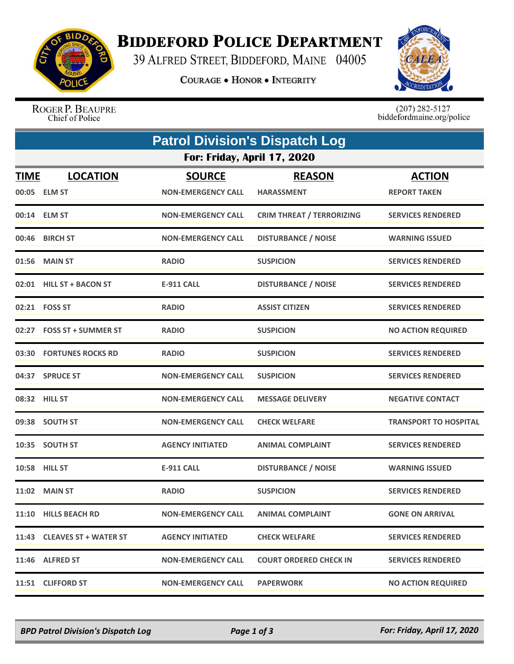

## **BIDDEFORD POLICE DEPARTMENT**

39 ALFRED STREET, BIDDEFORD, MAINE 04005

**COURAGE . HONOR . INTEGRITY** 



ROGER P. BEAUPRE Chief of Police

 $(207)$  282-5127<br>biddefordmaine.org/police

|                             | <b>Patrol Division's Dispatch Log</b> |                                            |                                    |                                      |  |  |  |  |
|-----------------------------|---------------------------------------|--------------------------------------------|------------------------------------|--------------------------------------|--|--|--|--|
| For: Friday, April 17, 2020 |                                       |                                            |                                    |                                      |  |  |  |  |
| <b>TIME</b>                 | <b>LOCATION</b><br>00:05 ELM ST       | <b>SOURCE</b><br><b>NON-EMERGENCY CALL</b> | <b>REASON</b><br><b>HARASSMENT</b> | <b>ACTION</b><br><b>REPORT TAKEN</b> |  |  |  |  |
|                             | 00:14 ELM ST                          | <b>NON-EMERGENCY CALL</b>                  | <b>CRIM THREAT / TERRORIZING</b>   | <b>SERVICES RENDERED</b>             |  |  |  |  |
|                             | 00:46 BIRCH ST                        | <b>NON-EMERGENCY CALL</b>                  | <b>DISTURBANCE / NOISE</b>         | <b>WARNING ISSUED</b>                |  |  |  |  |
|                             | 01:56 MAIN ST                         | <b>RADIO</b>                               | <b>SUSPICION</b>                   | <b>SERVICES RENDERED</b>             |  |  |  |  |
|                             | 02:01 HILL ST + BACON ST              | <b>E-911 CALL</b>                          | <b>DISTURBANCE / NOISE</b>         | <b>SERVICES RENDERED</b>             |  |  |  |  |
|                             | 02:21 FOSS ST                         | <b>RADIO</b>                               | <b>ASSIST CITIZEN</b>              | <b>SERVICES RENDERED</b>             |  |  |  |  |
|                             | 02:27 FOSS ST + SUMMER ST             | <b>RADIO</b>                               | <b>SUSPICION</b>                   | <b>NO ACTION REQUIRED</b>            |  |  |  |  |
|                             | 03:30 FORTUNES ROCKS RD               | <b>RADIO</b>                               | <b>SUSPICION</b>                   | <b>SERVICES RENDERED</b>             |  |  |  |  |
|                             | 04:37 SPRUCE ST                       | <b>NON-EMERGENCY CALL</b>                  | <b>SUSPICION</b>                   | <b>SERVICES RENDERED</b>             |  |  |  |  |
|                             | 08:32 HILL ST                         | <b>NON-EMERGENCY CALL</b>                  | <b>MESSAGE DELIVERY</b>            | <b>NEGATIVE CONTACT</b>              |  |  |  |  |
|                             | 09:38 SOUTH ST                        | <b>NON-EMERGENCY CALL</b>                  | <b>CHECK WELFARE</b>               | <b>TRANSPORT TO HOSPITAL</b>         |  |  |  |  |
|                             | 10:35 SOUTH ST                        | <b>AGENCY INITIATED</b>                    | <b>ANIMAL COMPLAINT</b>            | <b>SERVICES RENDERED</b>             |  |  |  |  |
|                             | 10:58 HILL ST                         | <b>E-911 CALL</b>                          | <b>DISTURBANCE / NOISE</b>         | <b>WARNING ISSUED</b>                |  |  |  |  |
|                             | 11:02 MAIN ST                         | <b>RADIO</b>                               | <b>SUSPICION</b>                   | <b>SERVICES RENDERED</b>             |  |  |  |  |
|                             | 11:10 HILLS BEACH RD                  | <b>NON-EMERGENCY CALL</b>                  | <b>ANIMAL COMPLAINT</b>            | <b>GONE ON ARRIVAL</b>               |  |  |  |  |
|                             | 11:43 CLEAVES ST + WATER ST           | <b>AGENCY INITIATED</b>                    | <b>CHECK WELFARE</b>               | <b>SERVICES RENDERED</b>             |  |  |  |  |
|                             | 11:46 ALFRED ST                       | NON-EMERGENCY CALL                         | <b>COURT ORDERED CHECK IN</b>      | <b>SERVICES RENDERED</b>             |  |  |  |  |
|                             | 11:51 CLIFFORD ST                     | <b>NON-EMERGENCY CALL</b>                  | <b>PAPERWORK</b>                   | <b>NO ACTION REQUIRED</b>            |  |  |  |  |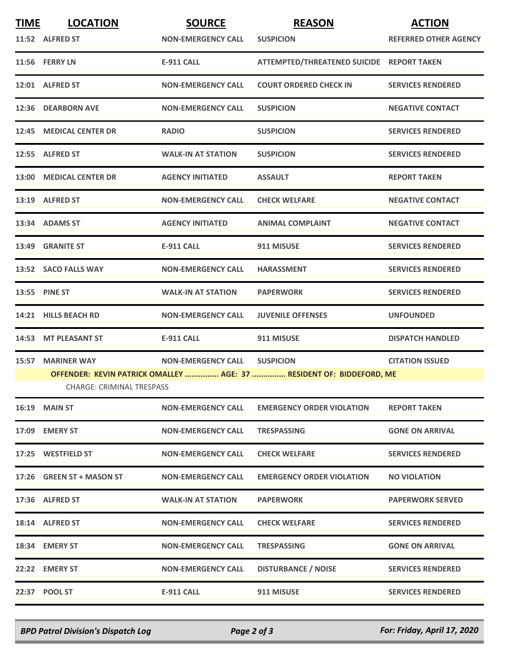| <b>TIME</b>                                                                                       | <b>LOCATION</b>           | <b>SOURCE</b>             | <b>REASON</b>                             | <b>ACTION</b>                |  |  |
|---------------------------------------------------------------------------------------------------|---------------------------|---------------------------|-------------------------------------------|------------------------------|--|--|
|                                                                                                   | 11:52 ALFRED ST           | <b>NON-EMERGENCY CALL</b> | <b>SUSPICION</b>                          | <b>REFERRED OTHER AGENCY</b> |  |  |
|                                                                                                   | 11:56 FERRY LN            | <b>E-911 CALL</b>         | ATTEMPTED/THREATENED SUICIDE REPORT TAKEN |                              |  |  |
|                                                                                                   | 12:01 ALFRED ST           | <b>NON-EMERGENCY CALL</b> | <b>COURT ORDERED CHECK IN</b>             | <b>SERVICES RENDERED</b>     |  |  |
|                                                                                                   | 12:36 DEARBORN AVE        | <b>NON-EMERGENCY CALL</b> | <b>SUSPICION</b>                          | <b>NEGATIVE CONTACT</b>      |  |  |
|                                                                                                   | 12:45 MEDICAL CENTER DR   | <b>RADIO</b>              | <b>SUSPICION</b>                          | <b>SERVICES RENDERED</b>     |  |  |
|                                                                                                   | 12:55 ALFRED ST           | <b>WALK-IN AT STATION</b> | <b>SUSPICION</b>                          | <b>SERVICES RENDERED</b>     |  |  |
|                                                                                                   | 13:00 MEDICAL CENTER DR   | <b>AGENCY INITIATED</b>   | <b>ASSAULT</b>                            | <b>REPORT TAKEN</b>          |  |  |
|                                                                                                   | 13:19 ALFRED ST           | <b>NON-EMERGENCY CALL</b> | <b>CHECK WELFARE</b>                      | <b>NEGATIVE CONTACT</b>      |  |  |
|                                                                                                   | 13:34 ADAMS ST            | <b>AGENCY INITIATED</b>   | <b>ANIMAL COMPLAINT</b>                   | <b>NEGATIVE CONTACT</b>      |  |  |
|                                                                                                   | 13:49 GRANITE ST          | <b>E-911 CALL</b>         | 911 MISUSE                                | <b>SERVICES RENDERED</b>     |  |  |
|                                                                                                   | 13:52 SACO FALLS WAY      | <b>NON-EMERGENCY CALL</b> | <b>HARASSMENT</b>                         | <b>SERVICES RENDERED</b>     |  |  |
|                                                                                                   | 13:55 PINE ST             | <b>WALK-IN AT STATION</b> | <b>PAPERWORK</b>                          | <b>SERVICES RENDERED</b>     |  |  |
|                                                                                                   | 14:21 HILLS BEACH RD      | <b>NON-EMERGENCY CALL</b> | <b>JUVENILE OFFENSES</b>                  | <b>UNFOUNDED</b>             |  |  |
|                                                                                                   | 14:53 MT PLEASANT ST      | <b>E-911 CALL</b>         | 911 MISUSE                                | <b>DISPATCH HANDLED</b>      |  |  |
| 15:57                                                                                             | <b>MARINER WAY</b>        | <b>NON-EMERGENCY CALL</b> | <b>SUSPICION</b>                          | <b>CITATION ISSUED</b>       |  |  |
| OFFENDER: KEVIN PATRICK OMALLEY  AGE: 37  RESIDENT OF: BIDDEFORD, ME<br>CHARGE: CRIMINAL TRESPASS |                           |                           |                                           |                              |  |  |
|                                                                                                   | <b>16:19 MAIN ST</b>      | <b>NON-EMERGENCY CALL</b> | <b>EMERGENCY ORDER VIOLATION</b>          | <b>REPORT TAKEN</b>          |  |  |
|                                                                                                   | 17:09 EMERY ST            | <b>NON-EMERGENCY CALL</b> | <b>TRESPASSING</b>                        | <b>GONE ON ARRIVAL</b>       |  |  |
|                                                                                                   | 17:25 WESTFIELD ST        | <b>NON-EMERGENCY CALL</b> | <b>CHECK WELFARE</b>                      | <b>SERVICES RENDERED</b>     |  |  |
|                                                                                                   | 17:26 GREEN ST + MASON ST | <b>NON-EMERGENCY CALL</b> | <b>EMERGENCY ORDER VIOLATION</b>          | <b>NO VIOLATION</b>          |  |  |
|                                                                                                   | 17:36 ALFRED ST           | <b>WALK-IN AT STATION</b> | <b>PAPERWORK</b>                          | <b>PAPERWORK SERVED</b>      |  |  |
|                                                                                                   | 18:14 ALFRED ST           | <b>NON-EMERGENCY CALL</b> | <b>CHECK WELFARE</b>                      | <b>SERVICES RENDERED</b>     |  |  |
|                                                                                                   | 18:34 EMERY ST            | <b>NON-EMERGENCY CALL</b> | <b>TRESPASSING</b>                        | <b>GONE ON ARRIVAL</b>       |  |  |
|                                                                                                   | 22:22 EMERY ST            | <b>NON-EMERGENCY CALL</b> | <b>DISTURBANCE / NOISE</b>                | <b>SERVICES RENDERED</b>     |  |  |
|                                                                                                   | 22:37 POOL ST             | <b>E-911 CALL</b>         | 911 MISUSE                                | <b>SERVICES RENDERED</b>     |  |  |

*BPD Patrol Division's Dispatch Log Page 2 of 3 For: Friday, April 17, 2020*